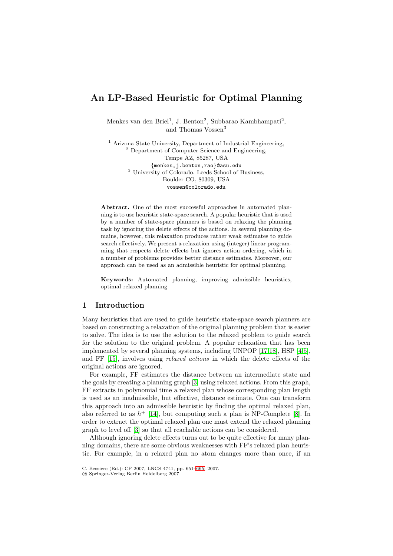# **An LP-Based Heuristic for Optimal Planning**

Menkes van den Briel<sup>1</sup>, J. Benton<sup>2</sup>, Subbarao Kambhampati<sup>2</sup>, and Thomas Vossen<sup>3</sup>

 $1$  Arizona State University, Department of Industrial Engineering,  $2$  Department of Computer Science and Engineering, Tempe AZ, 85287, USA {menkes,j.benton,rao}@asu.edu <sup>3</sup> University of Colorado, Leeds School of Business, Boulder CO, 80309, USA vossen@colorado.edu

Abstract. One of the most successful approaches in automated planning is to use heuristic state-space search. A popular heuristic that is used by a number of state-space planners is based on relaxing the planning task by ignoring the delete effects of the actions. In several planning domains, however, this relaxation produces rather weak estimates to guide search effectively. We present a relaxation using (integer) linear programming that respects delete effects but ignores action ordering, which in a number of problems provides better distance estimates. Moreover, our approach can be used as an admissible heuristic for optimal planning.

**Keywords:** Automated planning, improving admissible heuristics, optimal relaxed planning

## **1 Introduction**

Many heuristics that are used to guide heuristic state-space search planners are based on constructing a relaxation of the original planning problem that is easier to solve. The idea is to use the solution to the relaxed problem to guide search for the solution to the original problem. A popular relaxation that has been implemented by several planning systems, including UNPOP [\[17,](#page-14-0)[18\]](#page-14-1), HSP [\[4,](#page-13-0)[5\]](#page-13-1), and FF [\[15\]](#page-14-2), involves using relaxed actions in which the delete effects of the original actions are ignored.

For example, FF estimates the distance between an intermediate state and the goals by creating a planning graph [\[3\]](#page-13-2) using relaxed actions. From this graph, FF extracts in polynomial time a relaxed plan whose corresponding plan length is used as an inadmissible, but effective, distance estimate. One can transform this approach into an admissible heuristic by finding the optimal relaxed plan, also referred to as  $h^+$  [\[14\]](#page-14-3), but computing such a plan is NP-Complete [\[8\]](#page-13-3). In order to extract the optimal relaxed plan one must extend the relaxed planning graph to level off [\[3\]](#page-13-2) so that all reachable actions can be considered.

Although ignoring delete effects turns out to be quite effective for many planning domains, there are some obvious weaknesses with FF's relaxed plan heuristic. For example, in a relaxed plan no atom changes more than once, if an

C. Bessiere (Ed.): CP 2007, LNCS 4741, pp. 651[–665,](#page-13-4) 2007.

<sup>-</sup>c Springer-Verlag Berlin Heidelberg 2007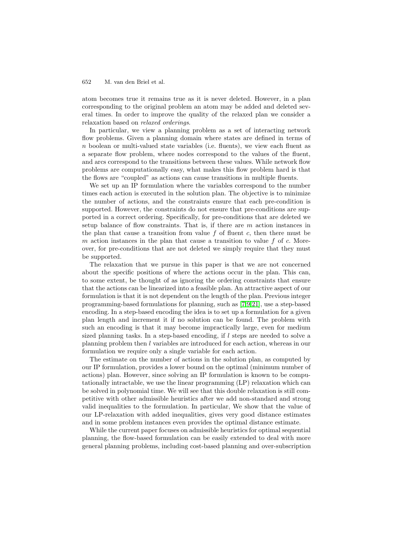atom becomes true it remains true as it is never deleted. However, in a plan corresponding to the original problem an atom may be added and deleted several times. In order to improve the quality of the relaxed plan we consider a relaxation based on relaxed orderings.

In particular, we view a planning problem as a set of interacting network flow problems. Given a planning domain where states are defined in terms of n boolean or multi-valued state variables (i.e. fluents), we view each fluent as a separate flow problem, where nodes correspond to the values of the fluent, and arcs correspond to the transitions between these values. While network flow problems are computationally easy, what makes this flow problem hard is that the flows are "coupled" as actions can cause transitions in multiple fluents.

We set up an IP formulation where the variables correspond to the number times each action is executed in the solution plan. The objective is to minimize the number of actions, and the constraints ensure that each pre-condition is supported. However, the constraints do not ensure that pre-conditions are supported in a correct ordering. Specifically, for pre-conditions that are deleted we setup balance of flow constraints. That is, if there are  $m$  action instances in the plan that cause a transition from value  $f$  of fluent  $c$ , then there must be m action instances in the plan that cause a transition to value  $f$  of  $c$ . Moreover, for pre-conditions that are not deleted we simply require that they must be supported.

The relaxation that we pursue in this paper is that we are not concerned about the specific positions of where the actions occur in the plan. This can, to some extent, be thought of as ignoring the ordering constraints that ensure that the actions can be linearized into a feasible plan. An attractive aspect of our formulation is that it is not dependent on the length of the plan. Previous integer programming-based formulations for planning, such as [\[7](#page-13-5)[,9](#page-13-6)[,21\]](#page-14-4), use a step-based encoding. In a step-based encoding the idea is to set up a formulation for a given plan length and increment it if no solution can be found. The problem with such an encoding is that it may become impractically large, even for medium sized planning tasks. In a step-based encoding, if l steps are needed to solve a planning problem then l variables are introduced for each action, whereas in our formulation we require only a single variable for each action.

The estimate on the number of actions in the solution plan, as computed by our IP formulation, provides a lower bound on the optimal (minimum number of actions) plan. However, since solving an IP formulation is known to be computationally intractable, we use the linear programming (LP) relaxation which can be solved in polynomial time. We will see that this double relaxation is still competitive with other admissible heuristics after we add non-standard and strong valid inequalities to the formulation. In particular, We show that the value of our LP-relaxation with added inequalities, gives very good distance estimates and in some problem instances even provides the optimal distance estimate.

While the current paper focuses on admissible heuristics for optimal sequential planning, the flow-based formulation can be easily extended to deal with more general planning problems, including cost-based planning and over-subscription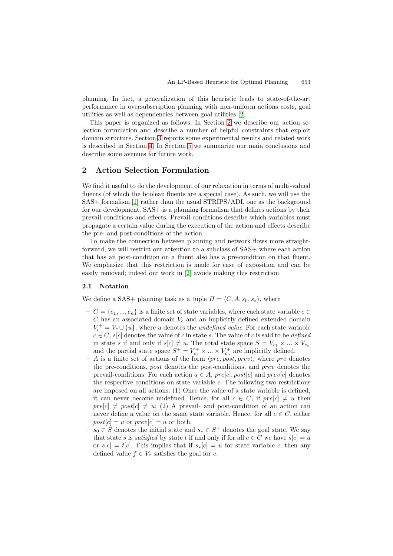planning. In fact, a generalization of this heuristic leads to state-of-the-art performance in oversubscription planning with non-uniform actions costs, goal utilities as well as dependencies between goal utilities [\[2\]](#page-13-7).

This paper is organized as follows. In Section [2](#page-2-0) we describe our action selection formulation and describe a number of helpful constraints that exploit domain structure. Section [3](#page-9-0) reports some experimental results and related work is described in Section [4.](#page-11-0) In Section [5](#page-12-0) we summarize our main conclusions and describe some avenues for future work.

## <span id="page-2-0"></span>**2 Action Selection Formulation**

We find it useful to do the development of our relaxation in terms of multi-valued fluents (of which the boolean fluents are a special case). As such, we will use the SAS+ formalism [\[1\]](#page-13-8) rather than the usual STRIPS/ADL one as the background for our development. SAS+ is a planning formalism that defines actions by their prevail-conditions and effects. Prevail-conditions describe which variables must propagate a certain value during the execution of the action and effects describe the pre- and post-conditions of the action.

To make the connection between planning and network flows more straightforward, we will restrict our attention to a subclass of SAS+ where each action that has an post-condition on a fluent also has a pre-condition on that fluent. We emphasize that this restriction is made for ease of exposition and can be easily removed; indeed our work in [\[2\]](#page-13-7) avoids making this restriction.

## **2.1 Notation**

We define a SAS+ planning task as a tuple  $\Pi = \langle C, A, s_0, s_* \rangle$ , where

- $− C = {c_1, ..., c_n}$  is a finite set of state variables, where each state variable  $c \in$  $C$  has an associated domain  $V_c$  and an implicitly defined extended domain  $V_c^+ = V_c \cup \{u\}$ , where u denotes the *undefined value*. For each state variable  $c \in C$ ,  $s[c]$  denotes the value of c in state s. The value of c is said to be *defined* in state s if and only if  $s[c] \neq u$ . The total state space  $S = V_{c_1} \times ... \times V_{c_n}$ and the partial state space  $S^+ = V_{c_1}^+ \times \dots \times V_{c_n}^+$  are implicitly defined.
- $-$  A is a finite set of actions of the form  $\langle pre, post, prev \rangle$ , where pre denotes the pre-conditions, post denotes the post-conditions, and prev denotes the prevail-conditions. For each action  $a \in A$ ,  $pre[c]$ ,  $post[c]$  and  $prev[c]$  denotes the respective conditions on state variable  $c$ . The following two restrictions are imposed on all actions: (1) Once the value of a state variable is defined, it can never become undefined. Hence, for all  $c \in C$ , if  $pre[c] \neq u$  then  $pre[c] \neq post[c] \neq u$ ; (2) A prevail- and post-condition of an action can never define a value on the same state variable. Hence, for all  $c \in C$ , either  $post[c] = u \text{ or } prev[c] = u \text{ or both.}$
- $s_0$  ∈ S denotes the initial state and  $s_*$  ∈ S<sup>+</sup> denotes the goal state. We say that state s is satisfied by state t if and only if for all  $c \in C$  we have  $s[c] = u$ or  $s[c] = t[c]$ . This implies that if  $s*[c] = u$  for state variable c, then any defined value  $f \in V_c$  satisfies the goal for c.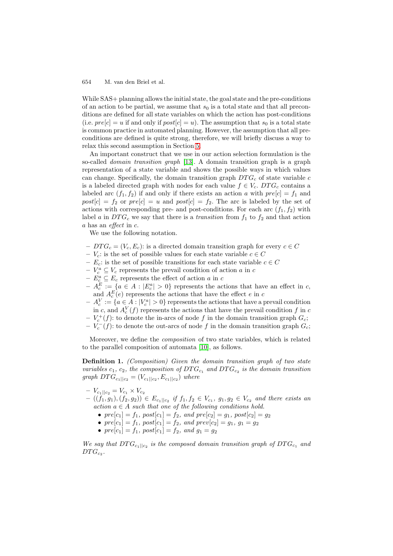While SAS+ planning allows the initial state, the goal state and the pre-conditions of an action to be partial, we assume that  $s_0$  is a total state and that all preconditions are defined for all state variables on which the action has post-conditions (i.e.  $pre[c] = u$  if and only if  $post[c] = u$ ). The assumption that  $s_0$  is a total state is common practice in automated planning. However, the assumption that all preconditions are defined is quite strong, therefore, we will briefly discuss a way to relax this second assumption in Section [5.](#page-12-0)

An important construct that we use in our action selection formulation is the so-called domain transition graph [\[13\]](#page-14-5). A domain transition graph is a graph representation of a state variable and shows the possible ways in which values can change. Specifically, the domain transition graph  $DTG_c$  of state variable c is a labeled directed graph with nodes for each value  $f \in V_c$ .  $DTG_c$  contains a labeled arc  $(f_1, f_2)$  if and only if there exists an action a with  $pre[c] = f_1$  and  $post[c] = f_2$  or  $pre[c] = u$  and  $post[c] = f_2$ . The arc is labeled by the set of actions with corresponding pre- and post-conditions. For each arc  $(f_1, f_2)$  with label a in  $DTG_c$  we say that there is a transition from  $f_1$  to  $f_2$  and that action a has an effect in c.

We use the following notation.

- $-DTG_c = (V_c, E_c)$ : is a directed domain transition graph for every  $c \in C$
- $-V_c$ : is the set of possible values for each state variable  $c \in C$
- $E_c$ : is the set of possible transitions for each state variable  $c \in C$
- $V_c^a \subseteq V_c$  represents the prevail condition of action a in c
- $-E_c^a \subseteq E_c$  represents the effect of action a in c
- $A_c^E := \{a \in A : |E_c^a| > 0\}$  represents the actions that have an effect in c, and  $A_c^E(e)$  represents the actions that have the effect e in c
- $\mathcal{A}_c^V := \{a \in A : |V_c^a| > 0\}$  represents the actions that have a prevail condition in c, and  $A_c^V(f)$  represents the actions that have the prevail condition f in c
- $V_c^+(f)$ : to denote the in-arcs of node f in the domain transition graph  $G_c$ ;
- $V_c^-(f)$ : to denote the out-arcs of node f in the domain transition graph  $G_c$ ;

Moreover, we define the composition of two state variables, which is related to the parallel composition of automata [\[10\]](#page-13-9), as follows.

**Definition 1.** (Composition) Given the domain transition graph of two state variables  $c_1, c_2$ , the composition of  $DTG_{c_1}$  and  $DTG_{c_2}$  is the domain transition graph  $DTG_{c_1||c_2} = (V_{c_1||c_2}, E_{c_1||c_2})$  where

- $-V_{c_1||c_2} = V_{c_1} \times V_{c_2}$
- $-((f_1, g_1), (f_2, g_2)) \in E_{c_1||c_2}$  if  $f_1, f_2 \in V_{c_1}, g_1, g_2 \in V_{c_2}$  and there exists an action  $a \in A$  such that one of the following conditions hold.
	- $pre[c_1] = f_1$ ,  $post[c_1] = f_2$ , and  $pre[c_2] = g_1$ ,  $post[c_2] = g_2$
	- $pre[c_1] = f_1$ ,  $post[c_1] = f_2$ , and  $prev[c_2] = g_1$ ,  $g_1 = g_2$
	- $pre[c_1] = f_1$ ,  $post[c_1] = f_2$ , and  $g_1 = g_2$

We say that  $DTG_{c_1||c_2}$  is the composed domain transition graph of  $DTG_{c_1}$  and  $DTG_{c2}.$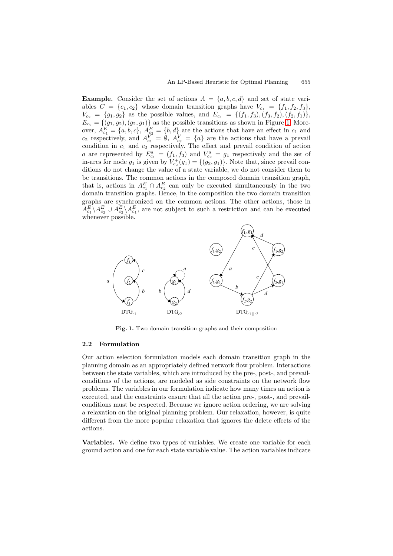**Example.** Consider the set of actions  $A = \{a, b, c, d\}$  and set of state variables  $C = \{c_1, c_2\}$  whose domain transition graphs have  $V_{c_1} = \{f_1, f_2, f_3\}$ ,  $V_{c_2} = \{g_1, g_2\}$  as the possible values, and  $E_{c_1} = \{(f_1, f_3), (f_3, f_2), (f_2, f_1)\},\$  $E_{c_2} = \{(g_1, g_2), (g_2, g_1)\}\$ as the possible transitions as shown in Figure [1.](#page-4-0) Moreover,  $A_{c_1}^E = \{a, b, c\}$ ,  $A_{c_2}^E = \{b, d\}$  are the actions that have an effect in  $c_1$  and  $c_2$  respectively, and  $A_{c_1}^V = \emptyset$ ,  $A_{c_2}^V = \{a\}$  are the actions that have a prevail condition in  $c_1$  and  $c_2$  respectively. The effect and prevail condition of action a are represented by  $E_{c_1}^a = (f_1, f_3)$  and  $V_{c_2}^a = g_1$  respectively and the set of in-arcs for node  $g_1$  is given by  $V_{c_2}^+(g_1) = \{(g_2, g_1)\}\.$  Note that, since prevail conditions do not change the value of a state variable, we do not consider them to be transitions. The common actions in the composed domain transition graph, that is, actions in  $A_{c_1}^E \cap A_{c_2}^E$  can only be executed simultaneously in the two domain transition graphs. Hence, in the composition the two domain transition graphs are synchronized on the common actions. The other actions, those in  $A_{c_1}^E \setminus A_{c_2}^E \cup A_{c_1}^E \setminus A_{c_1}^E$ , are not subject to such a restriction and can be executed whenever possible.



**Fig. 1.** Two domain transition graphs and their composition

### <span id="page-4-0"></span>**2.2 Formulation**

Our action selection formulation models each domain transition graph in the planning domain as an appropriately defined network flow problem. Interactions between the state variables, which are introduced by the pre-, post-, and prevailconditions of the actions, are modeled as side constraints on the network flow problems. The variables in our formulation indicate how many times an action is executed, and the constraints ensure that all the action pre-, post-, and prevailconditions must be respected. Because we ignore action ordering, we are solving a relaxation on the original planning problem. Our relaxation, however, is quite different from the more popular relaxation that ignores the delete effects of the actions.

**Variables.** We define two types of variables. We create one variable for each ground action and one for each state variable value. The action variables indicate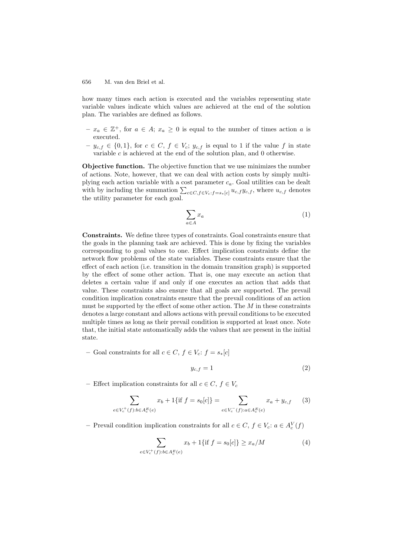how many times each action is executed and the variables representing state variable values indicate which values are achieved at the end of the solution plan. The variables are defined as follows.

- $x_a \in \mathbb{Z}^+$ , for  $a \in A$ ;  $x_a \ge 0$  is equal to the number of times action a is executed.
- $y_{c,f} \in \{0,1\}$ , for  $c \in C$ ,  $f \in V_c$ ;  $y_{c,f}$  is equal to 1 if the value f in state variable  $c$  is achieved at the end of the solution plan, and  $0$  otherwise.

**Objective function.** The objective function that we use minimizes the number of actions. Note, however, that we can deal with action costs by simply multiplying each action variable with a cost parameter  $c_a$ . Goal utilities can be dealt with by including the summation  $\sum_{c \in C, f \in V_c: f=s_*[c]} u_{c,f} y_{c,f}$ , where  $u_{c,f}$  denotes the utility parameter for each goal.

$$
\sum_{a \in A} x_a \tag{1}
$$

**Constraints.** We define three types of constraints. Goal constraints ensure that the goals in the planning task are achieved. This is done by fixing the variables corresponding to goal values to one. Effect implication constraints define the network flow problems of the state variables. These constraints ensure that the effect of each action (i.e. transition in the domain transition graph) is supported by the effect of some other action. That is, one may execute an action that deletes a certain value if and only if one executes an action that adds that value. These constraints also ensure that all goals are supported. The prevail condition implication constraints ensure that the prevail conditions of an action must be supported by the effect of some other action. The  $M$  in these constraints denotes a large constant and allows actions with prevail conditions to be executed multiple times as long as their prevail condition is supported at least once. Note that, the initial state automatically adds the values that are present in the initial state.

– Goal constraints for all  $c \in C$ ,  $f \in V_c$ :  $f = s_*[c]$ 

$$
y_{c,f} = 1\tag{2}
$$

<span id="page-5-1"></span>– Effect implication constraints for all  $c \in C$ ,  $f \in V_c$ 

<span id="page-5-0"></span>
$$
\sum_{e \in V_c^+(f): b \in A_c^E(e)} x_b + 1\{\text{if } f = s_0[c]\} = \sum_{e \in V_c^-(f): a \in A_c^E(e)} x_a + y_{c,f} \tag{3}
$$

<span id="page-5-2"></span>**–** Prevail condition implication constraints for all  $c \in C$ ,  $f \in V_c$ :  $a \in A_c^V(f)$ 

$$
\sum_{e \in V_c^+(f): b \in A_c^E(e)} x_b + 1\{\text{if } f = s_0[c]\} \ge x_a/M \tag{4}
$$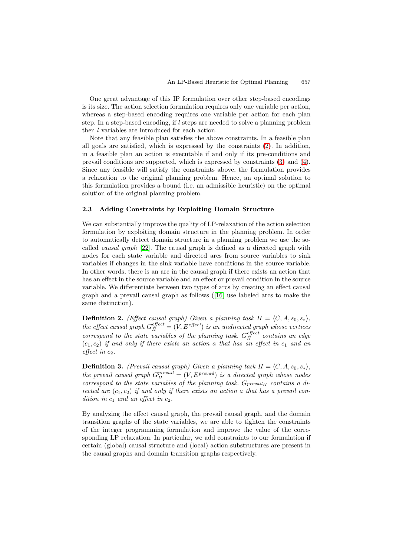One great advantage of this IP formulation over other step-based encodings is its size. The action selection formulation requires only one variable per action, whereas a step-based encoding requires one variable per action for each plan step. In a step-based encoding, if  $l$  steps are needed to solve a planning problem then l variables are introduced for each action.

Note that any feasible plan satisfies the above constraints. In a feasible plan all goals are satisfied, which is expressed by the constraints [\(2\)](#page-5-0). In addition, in a feasible plan an action is executable if and only if its pre-conditions and prevail conditions are supported, which is expressed by constraints [\(3\)](#page-5-1) and [\(4\)](#page-5-2). Since any feasible will satisfy the constraints above, the formulation provides a relaxation to the original planning problem. Hence, an optimal solution to this formulation provides a bound (i.e. an admissible heuristic) on the optimal solution of the original planning problem.

### **2.3 Adding Constraints by Exploiting Domain Structure**

We can substantially improve the quality of LP-relaxation of the action selection formulation by exploiting domain structure in the planning problem. In order to automatically detect domain structure in a planning problem we use the socalled causal graph [\[22\]](#page-14-6). The causal graph is defined as a directed graph with nodes for each state variable and directed arcs from source variables to sink variables if changes in the sink variable have conditions in the source variable. In other words, there is an arc in the causal graph if there exists an action that has an effect in the source variable and an effect or prevail condition in the source variable. We differentiate between two types of arcs by creating an effect causal graph and a prevail causal graph as follows ([\[16\]](#page-14-7) use labeled arcs to make the same distinction).

**Definition 2.** (Effect causal graph) Given a planning task  $\Pi = \langle C, A, s_0, s_* \rangle$ , the effect causal graph  $G_{\Pi}^{effect} = (V, E^{effect})$  is an undirected graph whose vertices correspond to the state variables of the planning task.  $G_{\Pi}^{\text{effect}}$  contains an edge  $(c_1, c_2)$  if and only if there exists an action a that has an effect in  $c_1$  and an effect in  $c_2$ .

**Definition 3.** (Prevail causal graph) Given a planning task  $\Pi = \langle C, A, s_0, s_* \rangle$ , the prevail causal graph  $G_{\Pi}^{prevail} = (V, E^{prevail})$  is a directed graph whose nodes correspond to the state variables of the planning task.  $G_{preval}$  contains a directed arc  $(c_1, c_2)$  if and only if there exists an action a that has a prevail condition in  $c_1$  and an effect in  $c_2$ .

By analyzing the effect causal graph, the prevail causal graph, and the domain transition graphs of the state variables, we are able to tighten the constraints of the integer programming formulation and improve the value of the corresponding LP relaxation. In particular, we add constraints to our formulation if certain (global) causal structure and (local) action substructures are present in the causal graphs and domain transition graphs respectively.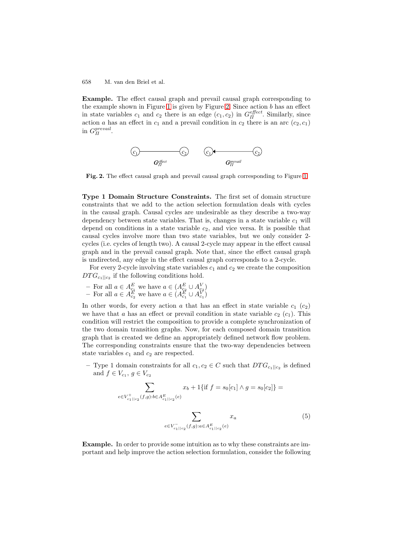**Example.** The effect causal graph and prevail causal graph corresponding to the example shown in Figure [1](#page-4-0) is given by Figure [2.](#page-7-0) Since action  $b$  has an effect in state variables  $c_1$  and  $c_2$  there is an edge  $(c_1, c_2)$  in  $G_{\Pi}^{effect}$ . Similarly, since action a has an effect in  $c_1$  and a prevail condition in  $c_2$  there is an arc  $(c_2, c_1)$ in  $G_{\Pi}^{preval}$ .



**Fig. 2.** The effect causal graph and prevail causal graph corresponding to Figure [1](#page-4-0)

<span id="page-7-0"></span>**Type 1 Domain Structure Constraints.** The first set of domain structure constraints that we add to the action selection formulation deals with cycles in the causal graph. Causal cycles are undesirable as they describe a two-way dependency between state variables. That is, changes in a state variable  $c_1$  will depend on conditions in a state variable  $c_2$ , and vice versa. It is possible that causal cycles involve more than two state variables, but we only consider 2 cycles (i.e. cycles of length two). A causal 2-cycle may appear in the effect causal graph and in the prevail causal graph. Note that, since the effect causal graph is undirected, any edge in the effect causal graph corresponds to a 2-cycle.

For every 2-cycle involving state variables  $c_1$  and  $c_2$  we create the composition  $DTG_{c_1||c_2}$  if the following conditions hold.

- **−** For all  $a \in A_{c_1}^E$  we have  $a \in (A_{c_2}^E \cup A_{c_2}^V)$
- **−** For all  $a \in A_{c_2}^E$  we have  $a \in (A_{c_1}^E \cup A_{c_1}^V)$

In other words, for every action a that has an effect in state variable  $c_1$  ( $c_2$ ) we have that a has an effect or prevail condition in state variable  $c_2$  ( $c_1$ ). This condition will restrict the composition to provide a complete synchronization of the two domain transition graphs. Now, for each composed domain transition graph that is created we define an appropriately defined network flow problem. The corresponding constraints ensure that the two-way dependencies between state variables  $c_1$  and  $c_2$  are respected.

– Type 1 domain constraints for all  $c_1, c_2 \in C$  such that  $DTG_{c_1||c_2}$  is defined and  $f \in V_{c_1}, g \in V_{c_2}$ 

$$
\sum_{e \in V_{c_1||c_2}^+(f,g): b \in A_{c_1||c_2}^E(e)} x_b + 1\{\text{if } f = s_0[c_1] \land g = s_0[c_2]\} =
$$

$$
\sum_{e \in V_{c_1||c_2}(f,g): a \in A_{c_1||c_2}^E(e)} x_a \tag{5}
$$

**Example.** In order to provide some intuition as to why these constraints are important and help improve the action selection formulation, consider the following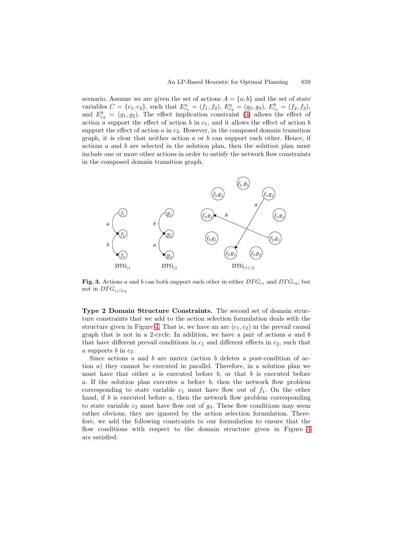scenario. Assume we are given the set of actions  $A = \{a, b\}$  and the set of state variables  $C = \{c_1, c_2\}$ , such that  $E_{c_1}^a = (f_1, f_2), E_{c_2}^a = (g_2, g_3), E_{c_1}^b = (f_2, f_3),$ and  $E_{c_2}^b = (g_1, g_2)$ . The effect implication constraint [\(3\)](#page-5-1) allows the effect of action  $\overline{a}$  support the effect of action  $\overline{b}$  in  $c_1$ , and it allows the effect of action  $\overline{b}$ support the effect of action  $a$  in  $c_2$ . However, in the composed domain transition graph, it is clear that neither action  $a$  or  $b$  can support each other. Hence, if actions  $a$  and  $b$  are selected in the solution plan, then the solution plan must include one or more other actions in order to satisfy the network flow constraints in the composed domain transition graph.



**Fig. 3.** Actions a and b can both support each other in either  $DTG_{c_1}$  and  $DTG_{c_2}$ , but not in  $DTG_{c_1||c_2}$ 

**Type 2 Domain Structure Constraints.** The second set of domain structure constraints that we add to the action selection formulation deals with the structure given in Figure [4.](#page-9-1) That is, we have an arc  $(c_1, c_2)$  in the prevail causal graph that is not in a 2-cycle. In addition, we have a pair of actions  $a$  and  $b$ that have different prevail conditions in  $c_1$  and different effects in  $c_2$ , such that a supports b in  $c_2$ .

Since actions  $a$  and  $b$  are mutex (action  $b$  deletes a post-condition of action a) they cannot be executed in parallel. Therefore, in a solution plan we must have that either  $a$  is executed before  $b$ , or that  $b$  is executed before  $a$ . If the solution plan executes  $a$  before  $b$ , then the network flow problem corresponding to state variable  $c_1$  must have flow out of  $f_1$ . On the other hand, if b is executed before a, then the network flow problem corresponding to state variable  $c_2$  must have flow out of  $g_3$ . These flow conditions may seem rather obvious, they are ignored by the action selection formulation. Therefore, we add the following constraints to our formulation to ensure that the flow conditions with respect to the domain structure given in Figure [4](#page-9-1) are satisfied.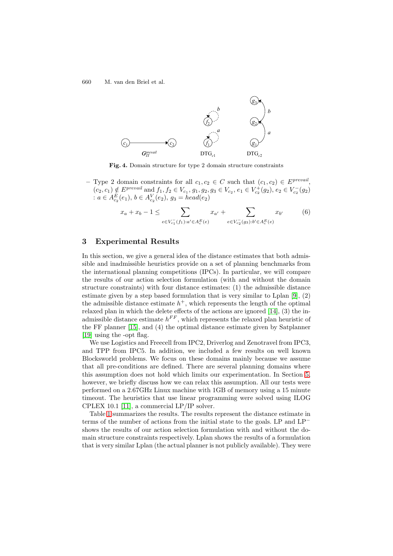

**Fig. 4.** Domain structure for type 2 domain structure constraints

<span id="page-9-1"></span>**–** Type 2 domain constraints for all  $c_1, c_2 \in C$  such that  $(c_1, c_2) \in E^{preval}$ ,  $(c_2, c_1) \notin E^{prevalid}$  and  $f_1, f_2 \in V_{c_1}, g_1, g_2, g_3 \in V_{c_2}, e_1 \in V_{c_2}^+(g_2), e_2 \in V_{c_2}^-(g_2)$ :  $a \in A_{c_2}^E(e_1)$ ,  $b \in A_{c_2}^V(e_2)$ ,  $g_3 = head(e_2)$ 

$$
x_a + x_b - 1 \leq \sum_{e \in V_{c_1}(f_1): a' \in A_c^E(e)} x_{a'} + \sum_{e \in V_{c_2}(g_3): b' \in A_c^E(e)} x_{b'} \tag{6}
$$

## <span id="page-9-0"></span>**3 Experimental Results**

In this section, we give a general idea of the distance estimates that both admissible and inadmissible heuristics provide on a set of planning benchmarks from the international planning competitions (IPCs). In particular, we will compare the results of our action selection formulation (with and without the domain structure constraints) with four distance estimates: (1) the admissible distance estimate given by a step based formulation that is very similar to Lplan [\[9\]](#page-13-6), (2) the admissible distance estimate  $h^+$ , which represents the length of the optimal relaxed plan in which the delete effects of the actions are ignored [\[14\]](#page-14-3), (3) the inadmissible distance estimate  $h^{FF}$ , which represents the relaxed plan heuristic of the FF planner [\[15\]](#page-14-2), and (4) the optimal distance estimate given by Satplanner [\[19\]](#page-14-8) using the -opt flag.

We use Logistics and Freecell from IPC2, Driverlog and Zenotravel from IPC3, and TPP from IPC5. In addition, we included a few results on well known Blocksworld problems. We focus on these domains mainly because we assume that all pre-conditions are defined. There are several planning domains where this assumption does not hold which limits our experimentation. In Section [5,](#page-12-0) however, we briefly discuss how we can relax this assumption. All our tests were performed on a 2.67GHz Linux machine with 1GB of memory using a 15 minute timeout. The heuristics that use linear programming were solved using ILOG CPLEX 10.1 [\[11\]](#page-13-10), a commercial LP/IP solver.

Table [1](#page-10-0) summarizes the results. The results represent the distance estimate in terms of the number of actions from the initial state to the goals. LP and LP<sup>−</sup> shows the results of our action selection formulation with and without the domain structure constraints respectively. Lplan shows the results of a formulation that is very similar Lplan (the actual planner is not publicly available). They were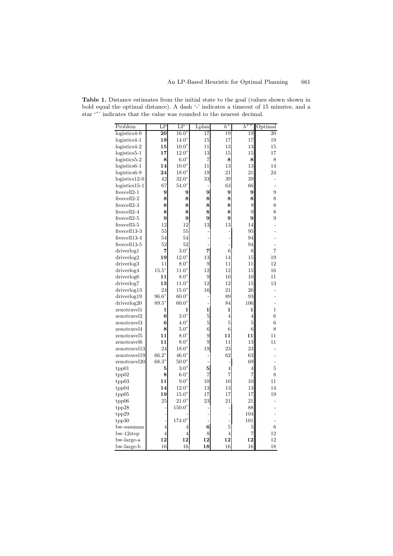| Problem                | $\overline{\text{LP}}$ | $\overline{LP}$ | Lplan          | $h^+$          | $h^{FI}$       | Optimal        |
|------------------------|------------------------|-----------------|----------------|----------------|----------------|----------------|
| $logistics4-0$         | 20                     | $16.0*$         | 17             | 19             | 19             | 20             |
| $logistics4-1$         | 19                     | $14.0*$         | 15             | 17             | 17             | 19             |
| $logistics4-2$         | 15                     | $10.0*$         | 11             | 13             | 13             | 15             |
| $logistics 5-1$        | 17                     | $12.0*$         | 13             | 15             | 15             | 17             |
| $logistics 5-2$        | 8                      | $6.0*$          | 7              | 8              | 8              | 8              |
| $logistics 6-1$        | 14                     | $10.0*$         | 11             | 13             | 13             | 14             |
| logistics6-9           | 24                     | $18.0*$         | 19             | 21             | 21             | 24             |
| $logistics12-0$        | 42                     | $32.0*$         | 33             | 39             | 39             |                |
| $logistics15-1$        | 67                     | $54.0*$         |                | 63             | 66             |                |
| freecell2-1            | 9                      | 9               | 9              | 9              | 9              | 9              |
| freecell2-2            | 8                      | 8               | 8              | 8              | 8              | 8              |
| freecell2-3            | 8                      | 8               | 8              | 8              | 9              | 8              |
| freecell2-4            | 8                      | 8               | 8              | 8              | 9              | 8              |
| freecell2-5            | 9                      | 9               | 9              | 9              | 9              | 9              |
| freecell3-5            | 12                     | 12              | 13             | 13             | 14             | $\overline{a}$ |
| freecell13-3           | 55                     | 55              |                |                | 95             |                |
| freecell13-4           | 54                     | 54              |                |                | 94             |                |
| freecell13-5           | 52                     | 52              |                |                | 94             |                |
| driverlog1             | 7                      | $3.0*$          | 7              | 6              | 8              | $\overline{7}$ |
| driverlog2             | 19                     | $12.0*$         | 13             | 14             | 15             | 19             |
| driverlog3             | $^{11}$                | $8.0*$          | 9              | 11             | 11             | 12             |
| driverlog4             | $15.5*$                | $11.0*$         | 12             | 12             | 15             | 16             |
| driverlog <sub>6</sub> | 11                     | $8.0*$          | 9              | 10             | 10             | 11             |
| driverlog7             | 13                     | $11.0*$         | 12             | 12             | 15             | 13             |
| driverlog13            | 24                     | $15.0*$         | 16             | 21             | 26             | $\overline{a}$ |
| driverlog19            | $96.6*$                | $60.0*$         |                | 89             | 93             |                |
| driverlog20            | 89.5*                  | $60.0*$         |                | 84             | 106            | $\overline{a}$ |
| zenotravel1            | 1                      | 1               | $\mathbf{1}$   | $\mathbf{1}$   | 1              | 1              |
| zenotravel2            | 6                      | $3.0*$          | $\overline{5}$ | 4              | 4              | 6              |
| zenotravel3            | 6                      | $4.0*$          | $\overline{5}$ | 5              | 5              | 6              |
| zenotravel4            | 8                      | $5.0*$          | 6              | 6              | 6              | 8              |
| zenotravel5            | 11                     | $8.0*$          | 9              | 11             | 11             | 11             |
| zenotravel6            | 11                     | $8.0*$          | 9              | 11             | 13             | 11             |
| zenotravel13           | 24                     | $18.0*$         | 19             | 23             | 23             |                |
| zenotravel19           | $66.2*$                | $46.0*$         |                | 62             | 63             |                |
| zenotravel20           | $68.3*$                | $50.0*$         |                |                | 69             |                |
| $tpp01$                | 5                      | $3.0*$          | 5              | 4              | 4              | 5              |
| $tpp02$                | 8                      | $6.0*$          | 7              | 7              | $\overline{7}$ | 8              |
| tpp03                  | 11                     | $9.0*$          | 10             | 10             | 10             | 11             |
| $tpp04$                | 14                     | $12.0*$         | 13             | 13             | 13             | 14             |
| tpp05                  | 19                     | $15.0*$         | 17             | 17             | 17             | 19             |
| $tpp06$                | 25                     | $21.0*$         | 23             | 21             | 21             |                |
| tpp28                  | -                      | $150.0*$        |                |                | 88             |                |
| tpp29                  |                        |                 |                |                | 104            |                |
| $tpp30$                |                        | $174.0*$        |                |                | 101            |                |
| bw-sussman             | $\overline{4}$         | $\overline{4}$  | 6              | 5              | 5              | 6              |
| $bw-12step$            | $\overline{4}$         | $\overline{4}$  | 8              | $\overline{4}$ | 7              | 12             |
| bw-large-a             | 12                     | 12              | 12             | 12             | 12             | 12             |
| bw-large-b             | 16                     | 16              | 18             | 16             | 16             | 18             |

<span id="page-10-0"></span>Table 1. Distance estimates from the initial state to the goal (values shown shown in bold equal the optimal distance). A dash '-' indicates a timeout of 15 minutes, and a star '<sup>\*'</sup> indicates that the value was rounded to the nearest decimal.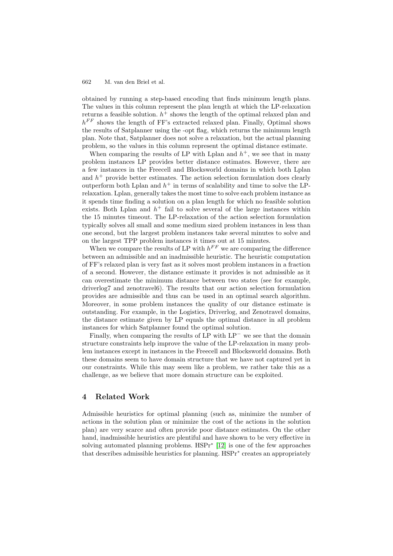obtained by running a step-based encoding that finds minimum length plans. The values in this column represent the plan length at which the LP-relaxation returns a feasible solution.  $h^+$  shows the length of the optimal relaxed plan and  $h^{FF}$  shows the length of FF's extracted relaxed plan. Finally, Optimal shows the results of Satplanner using the -opt flag, which returns the minimum length plan. Note that, Satplanner does not solve a relaxation, but the actual planning problem, so the values in this column represent the optimal distance estimate.

When comparing the results of LP with Lplan and  $h^+$ , we see that in many problem instances LP provides better distance estimates. However, there are a few instances in the Freecell and Blocksworld domains in which both Lplan and  $h^+$  provide better estimates. The action selection formulation does clearly outperform both Lplan and  $h^+$  in terms of scalability and time to solve the LPrelaxation. Lplan, generally takes the most time to solve each problem instance as it spends time finding a solution on a plan length for which no feasible solution exists. Both Lplan and  $h^+$  fail to solve several of the large instances within the 15 minutes timeout. The LP-relaxation of the action selection formulation typically solves all small and some medium sized problem instances in less than one second, but the largest problem instances take several minutes to solve and on the largest TPP problem instances it times out at 15 minutes.

When we compare the results of LP with  $h^{FF}$  we are comparing the difference between an admissible and an inadmissible heuristic. The heuristic computation of FF's relaxed plan is very fast as it solves most problem instances in a fraction of a second. However, the distance estimate it provides is not admissible as it can overestimate the minimum distance between two states (see for example, driverlog7 and zenotravel6). The results that our action selection formulation provides are admissible and thus can be used in an optimal search algorithm. Moreover, in some problem instances the quality of our distance estimate is outstanding. For example, in the Logistics, Driverlog, and Zenotravel domains, the distance estimate given by LP equals the optimal distance in all problem instances for which Satplanner found the optimal solution.

Finally, when comparing the results of LP with LP<sup>−</sup> we see that the domain structure constraints help improve the value of the LP-relaxation in many problem instances except in instances in the Freecell and Blocksworld domains. Both these domains seem to have domain structure that we have not captured yet in our constraints. While this may seem like a problem, we rather take this as a challenge, as we believe that more domain structure can be exploited.

## <span id="page-11-0"></span>**4 Related Work**

Admissible heuristics for optimal planning (such as, minimize the number of actions in the solution plan or minimize the cost of the actions in the solution plan) are very scarce and often provide poor distance estimates. On the other hand, inadmissible heuristics are plentiful and have shown to be very effective in solving automated planning problems. HSPr<sup>∗</sup> [\[12\]](#page-13-11) is one of the few approaches that describes admissible heuristics for planning. HSPr<sup>∗</sup> creates an appropriately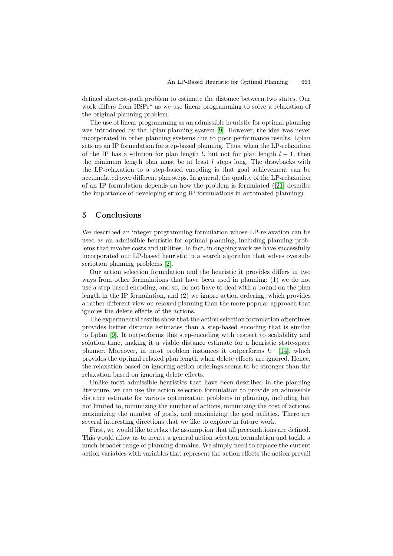defined shortest-path problem to estimate the distance between two states. Our work differs from HSPr<sup>∗</sup> as we use linear programming to solve a relaxation of the original planning problem.

The use of linear programming as an admissible heuristic for optimal planning was introduced by the Lplan planning system [\[9\]](#page-13-6). However, the idea was never incorporated in other planning systems due to poor performance results. Lplan sets up an IP formulation for step-based planning. Thus, when the LP-relaxation of the IP has a solution for plan length l, but not for plan length  $l - 1$ , then the minimum length plan must be at least  $l$  steps long. The drawbacks with the LP-relaxation to a step-based encoding is that goal achievement can be accumulated over different plan steps. In general, the quality of the LP-relaxation of an IP formulation depends on how the problem is formulated ([\[21\]](#page-14-4) describe the importance of developing strong IP formulations in automated planning).

## <span id="page-12-0"></span>**5 Conclusions**

We described an integer programming formulation whose LP-relaxation can be used as an admissible heuristic for optimal planning, including planning problems that involve costs and utilities. In fact, in ongoing work we have successfully incorporated our LP-based heuristic in a search algorithm that solves oversubscription planning problems [\[2\]](#page-13-7).

Our action selection formulation and the heuristic it provides differs in two ways from other formulations that have been used in planning: (1) we do not use a step based encoding, and so, do not have to deal with a bound on the plan length in the IP formulation, and (2) we ignore action ordering, which provides a rather different view on relaxed planning than the more popular approach that ignores the delete effects of the actions.

The experimental results show that the action selection formulation oftentimes provides better distance estimates than a step-based encoding that is similar to Lplan [\[9\]](#page-13-6). It outperforms this step-encoding with respect to scalability and solution time, making it a viable distance estimate for a heuristic state-space planner. Moreover, in most problem instances it outperforms  $h^+$  [\[14\]](#page-14-3), which provides the optimal relaxed plan length when delete effects are ignored. Hence, the relaxation based on ignoring action orderings seems to be stronger than the relaxation based on ignoring delete effects.

Unlike most admissible heuristics that have been described in the planning literature, we can use the action selection formulation to provide an admissible distance estimate for various optimization problems in planning, including but not limited to, minimizing the number of actions, minimizing the cost of actions, maximizing the number of goals, and maximizing the goal utilities. There are several interesting directions that we like to explore in future work.

First, we would like to relax the assumption that all preconditions are defined. This would allow us to create a general action selection formulation and tackle a much broader range of planning domains. We simply need to replace the current action variables with variables that represent the action effects the action prevail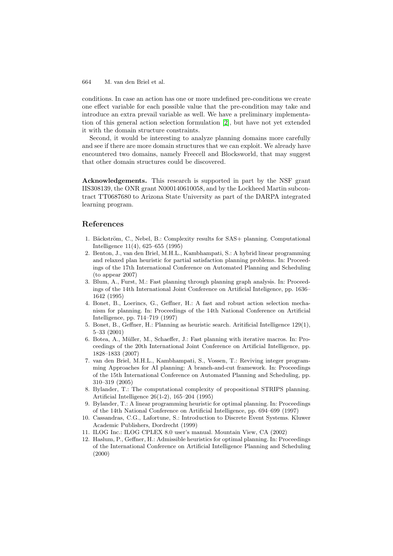conditions. In case an action has one or more undefined pre-conditions we create one effect variable for each possible value that the pre-condition may take and introduce an extra prevail variable as well. We have a preliminary implementation of this general action selection formulation [\[2\]](#page-13-7), but have not yet extended it with the domain structure constraints.

Second, it would be interesting to analyze planning domains more carefully and see if there are more domain structures that we can exploit. We already have encountered two domains, namely Freecell and Blocksworld, that may suggest that other domain structures could be discovered.

**Acknowledgements.** This research is supported in part by the NSF grant IIS308139, the ONR grant N000140610058, and by the Lockheed Martin subcontract TT0687680 to Arizona State University as part of the DARPA integrated learning program.

## <span id="page-13-8"></span><span id="page-13-4"></span>**References**

- 1. Bäckström, C., Nebel, B.: Complexity results for SAS+ planning. Computational Intelligence 11(4), 625–655 (1995)
- <span id="page-13-7"></span>2. Benton, J., van den Briel, M.H.L., Kambhampati, S.: A hybrid linear programming and relaxed plan heuristic for partial satisfaction planning problems. In: Proceedings of the 17th International Conference on Automated Planning and Scheduling (to appear 2007)
- <span id="page-13-2"></span>3. Blum, A., Furst, M.: Fast planning through planning graph analysis. In: Proceedings of the 14th International Joint Conference on Artificial Inteligence, pp. 1636– 1642 (1995)
- <span id="page-13-0"></span>4. Bonet, B., Loerincs, G., Geffner, H.: A fast and robust action selection mechanism for planning. In: Proceedings of the 14th National Conference on Artificial Intelligence, pp. 714–719 (1997)
- <span id="page-13-1"></span>5. Bonet, B., Geffner, H.: Planning as heuristic search. Aritificial Intelligence 129(1), 5–33 (2001)
- 6. Botea, A., Müller, M., Schaeffer, J.: Fast planning with iterative macros. In: Proceedings of the 20th International Joint Conference on Artificial Intelligence, pp. 1828–1833 (2007)
- <span id="page-13-5"></span>7. van den Briel, M.H.L., Kambhampati, S., Vossen, T.: Reviving integer programming Approaches for AI planning: A branch-and-cut framework. In: Proceedings of the 15th International Conference on Automated Planning and Scheduling, pp. 310–319 (2005)
- <span id="page-13-3"></span>8. Bylander, T.: The computational complexity of propositional STRIPS planning. Artificial Intelligence 26(1-2), 165–204 (1995)
- <span id="page-13-6"></span>9. Bylander, T.: A linear programming heuristic for optimal planning. In: Proceedings of the 14th National Conference on Artificial Intelligence, pp. 694–699 (1997)
- <span id="page-13-9"></span>10. Cassandras, C.G., Lafortune, S.: Introduction to Discrete Event Systems. Kluwer Academic Publishers, Dordrecht (1999)
- <span id="page-13-11"></span><span id="page-13-10"></span>11. ILOG Inc.: ILOG CPLEX 8.0 user's manual. Mountain View, CA (2002)
- 12. Haslum, P., Geffner, H.: Admissible heuristics for optimal planning. In: Proceedings of the International Conference on Artificial Intelligence Planning and Scheduling (2000)